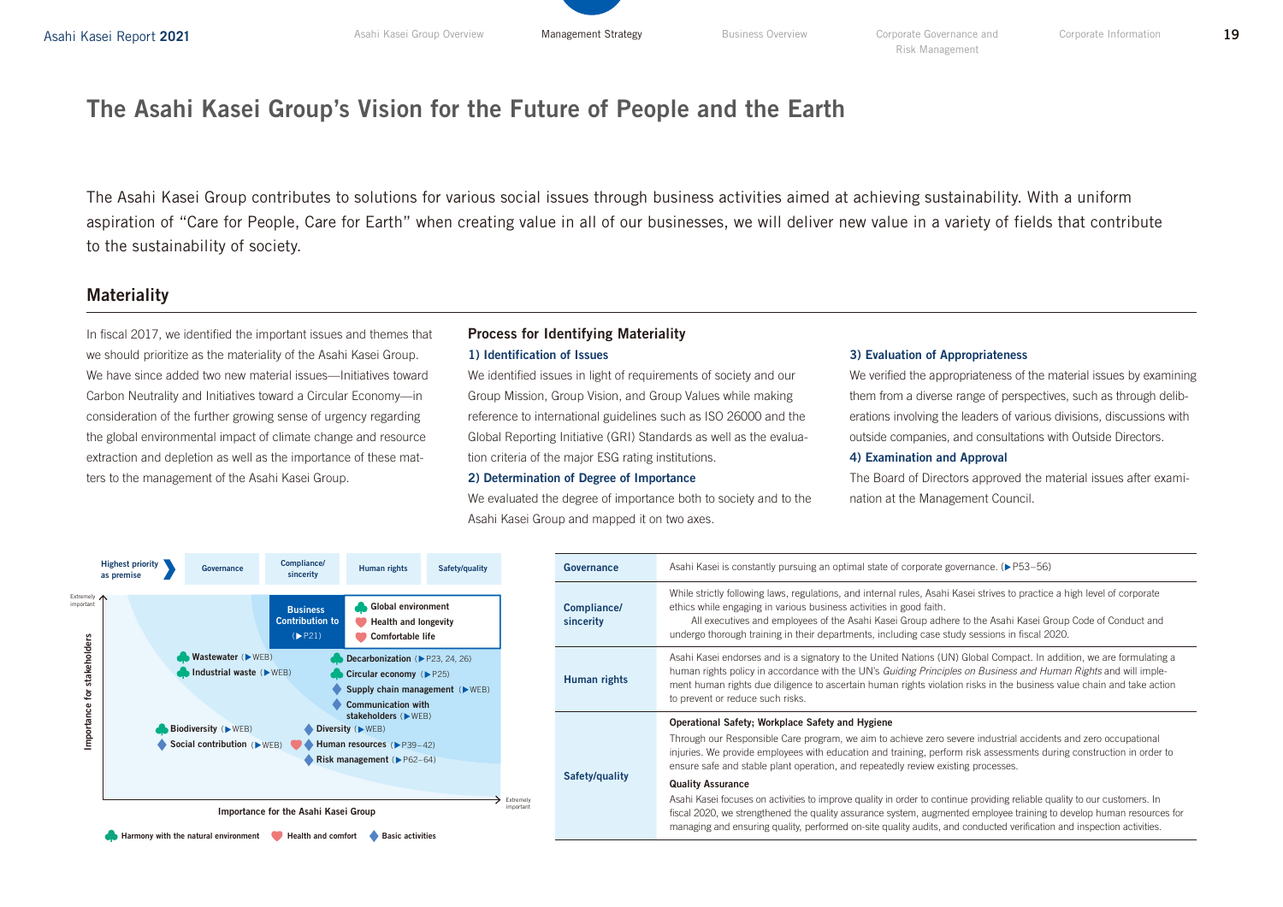# The Asahi Kasei Group's Vision for the Future of People and the Earth

The Asahi Kasei Group contributes to solutions for various social issues through business activities aimed at achieving sustainability. With a uniform aspiration of "Care for People, Care for Earth" when creating value in all of our businesses, we will deliver new value in a variety of fields that contribute to the sustainability of society.

### **Materiality**

In fiscal 2017, we identified the important issues and themes that we should prioritize as the materiality of the Asahi Kasei Group. We have since added two new material issues—Initiatives toward Carbon Neutrality and Initiatives toward a Circular Economy—in consideration of the further growing sense of urgency regarding the global environmental impact of climate change and resource extraction and depletion as well as the importance of these matters to the management of the Asahi Kasei Group.

### Process for Identifying Materiality 1) Identification of Issues

We identified issues in light of requirements of society and our Group Mission, Group Vision, and Group Values while making reference to international guidelines such as ISO 26000 and the Global Reporting Initiative (GRI) Standards as well as the evaluation criteria of the major ESG rating institutions.

#### 2) Determination of Degree of Importance

We evaluated the degree of importance both to society and to the Asahi Kasei Group and mapped it on two axes.

#### 3) Evaluation of Appropriateness

We verified the appropriateness of the material issues by examining them from a diverse range of perspectives, such as through deliberations involving the leaders of various divisions, discussions with outside companies, and consultations with Outside Directors.

#### 4) Examination and Approval

The Board of Directors approved the material issues after examination at the Management Council.

| <b>Highest priority</b><br>as premise                         | Governance              | Compliance/<br>sincerity  | Human rights                                                                                                                               | Safety/quality                              |                                                                                                                                                                                                                                | Asahi Kasei is constantly pursuing an optimal state of corporate governance. (▶ P53-56)                                                                                                                                                                                                                                                                                                                        |
|---------------------------------------------------------------|-------------------------|---------------------------|--------------------------------------------------------------------------------------------------------------------------------------------|---------------------------------------------|--------------------------------------------------------------------------------------------------------------------------------------------------------------------------------------------------------------------------------|----------------------------------------------------------------------------------------------------------------------------------------------------------------------------------------------------------------------------------------------------------------------------------------------------------------------------------------------------------------------------------------------------------------|
|                                                               |                         | <b>Business</b><br>(PP21) | Global environment<br>Health and longevity<br>Comfortable life                                                                             |                                             |                                                                                                                                                                                                                                | While strictly following laws, regulations, and internal rules, Asahi Kasei strives to practice a high level of corporate<br>ethics while engaging in various business activities in good faith.<br>All executives and employees of the Asahi Kasei Group adhere to the Asahi Kasei Group Code of Conduct and<br>undergo thorough training in their departments, including case study sessions in fiscal 2020. |
|                                                               | <b>Wastewater (DEE)</b> |                           | Decarbonization (PP23, 24, 26)<br>Circular economy $(P25)$<br>Supply chain management ( $\triangleright$ WEB)<br><b>Communication with</b> |                                             |                                                                                                                                                                                                                                | Asahi Kasei endorses and is a signatory to the United Nations (UN) Global Compact. In addition, we are formulating a<br>human rights policy in accordance with the UN's Guiding Principles on Business and Human Rights and will imple-<br>ment human rights due diligence to ascertain human rights violation risks in the business value chain and take action<br>to prevent or reduce such risks.           |
|                                                               |                         |                           |                                                                                                                                            |                                             |                                                                                                                                                                                                                                | Operational Safety; Workplace Safety and Hygiene<br>Through our Responsible Care program, we aim to achieve zero severe industrial accidents and zero occupational<br>injuries. We provide employees with education and training, perform risk assessments during construction in order to<br>ensure safe and stable plant operation, and repeatedly review existing processes.                                |
|                                                               |                         |                           |                                                                                                                                            |                                             |                                                                                                                                                                                                                                | <b>Quality Assurance</b>                                                                                                                                                                                                                                                                                                                                                                                       |
| Extremely<br>mportant<br>Importance for the Asahi Kasei Group |                         |                           |                                                                                                                                            |                                             |                                                                                                                                                                                                                                | Asahi Kasei focuses on activities to improve quality in order to continue providing reliable quality to our customers. In<br>fiscal 2020, we strengthened the quality assurance system, augmented employee training to develop human resources for<br>managing and ensuring quality, performed on-site quality audits, and conducted verification and inspection activities.                                   |
|                                                               |                         | Biodiversity (NEB)        | Contribution to<br>Industrial waste $(\triangleright \text{WEB})$<br>Social contribution (MEB)                                             | $\bullet$ Diversity ( $\triangleright$ WEB) | stakeholders ( $\blacktriangleright$ WEB)<br>$\blacktriangleright$ Human resources ( $\blacktriangleright$ P39-42)<br>Risk management ( $P62-64$ )<br>Harmony with the natural environment Health and comfort Basic activities | Governance<br>Compliance/<br>sincerity<br>Human rights<br>Safety/quality                                                                                                                                                                                                                                                                                                                                       |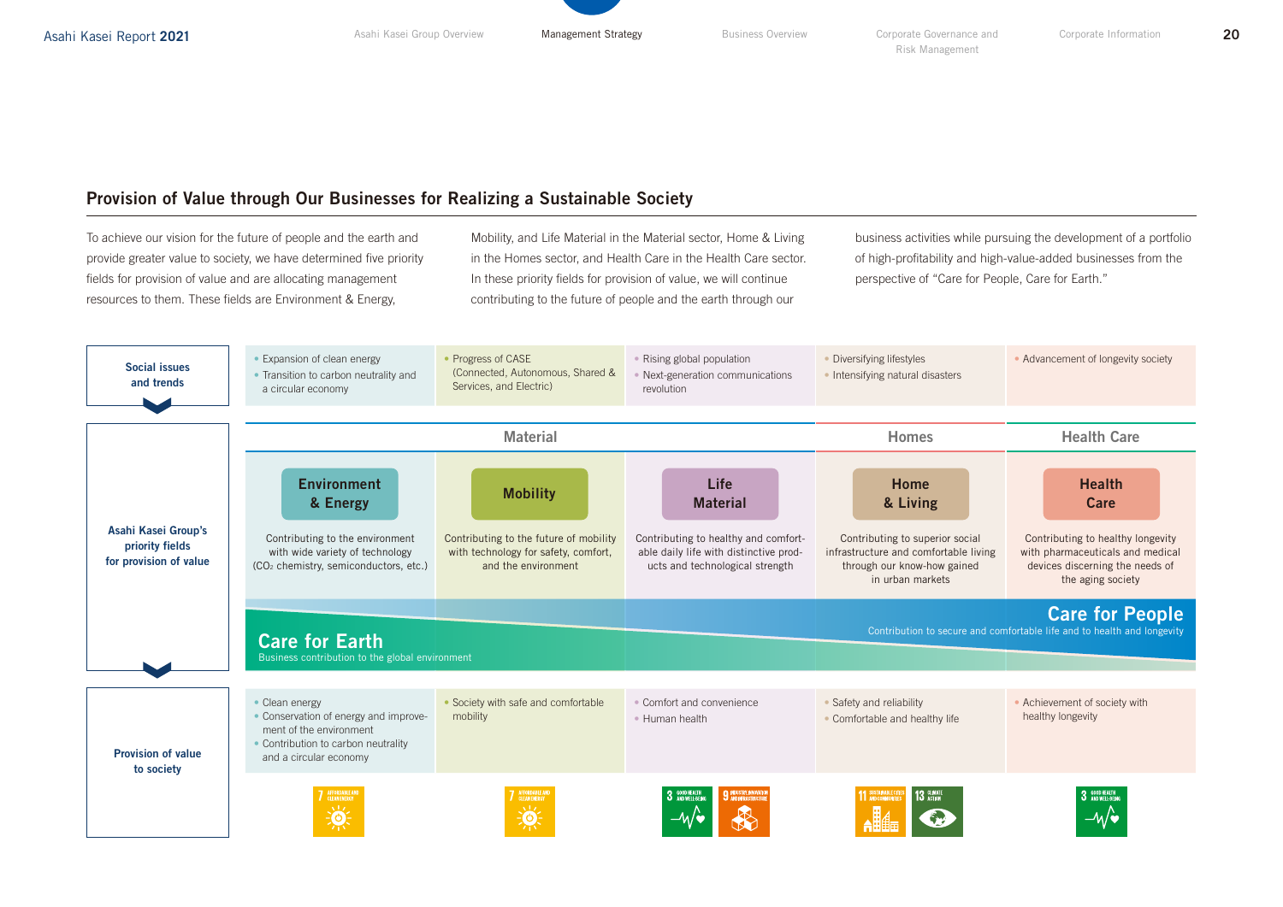### Provision of Value through Our Businesses for Realizing a Sustainable Society

To achieve our vision for the future of people and the earth and provide greater value to society, we have determined five priority fields for provision of value and are allocating management resources to them. These fields are Environment & Energy,

Mobility, and Life Material in the Material sector, Home & Living in the Homes sector, and Health Care in the Health Care sector. In these priority fields for provision of value, we will continue contributing to the future of people and the earth through our

business activities while pursuing the development of a portfolio of high-profitability and high-value-added businesses from the perspective of "Care for People, Care for Earth."